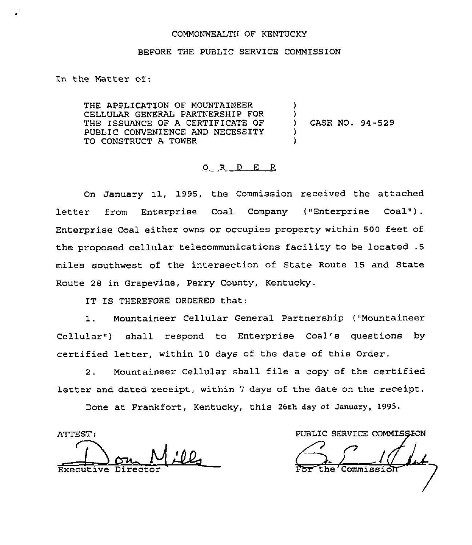## COMMONWEALTH OF KENTUCKY

## BEFORE THE PUBLIC SERVICE COMMISSION

In the Matter of:

THE APPLICATION OF MOUNTAINEER CELLULAR GENERAL PARTNERSHIP FOR THE ISSUANCE OF A CERTIFICATE OF PUBLIC CONVENIENCE AND NECESSITY TO CONSTRUCT A TOWER ) ) ) CASE NO. 94-529 ) )

## 0 R <sup>D</sup> E R

On January 11, 1995, the Commission received the attached letter from Enterprise Coal Company ("Enterprise Coal"). Enterprise Coal either owns or occupies property within 500 feet of the proposed cellular telecommunications facility to be located .5 miles southwest of the intersection of State Route 15 and State Route 28 in Grapevine, Perry County, Kentucky.

IT IS THEREFORE ORDERED that:

1. Mountaineer Cellular General Partnership ("Mountaineer Cellular") shall respond to Enterprise Coal's questions by certified letter, within 10 days of the date of this Order.

2. Mountaineer Cellular shall file <sup>a</sup> copy of the certified letter and dated receipt, within 7 days of the date on the receipt.

Done at Frankfort, Kentucky, this 26th day of January, 1995.

ATTEST:

Executive

PUBLIC SERVICE COMMISSION

Commission